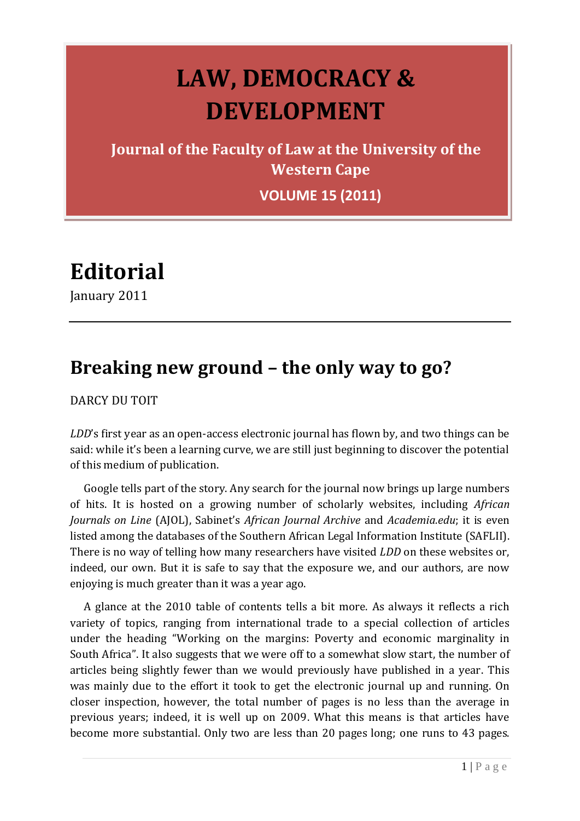## **LAW, DEMOCRACY & DEVELOPMENT**

**Journal of the Faculty of Law at the University of the Western Cape**

**VOLUME 15 (2011)**

**Editorial**

January 2011

## **Breaking new ground – the only way to go?**

DARCY DU TOIT

*LDD*'s first year as an open-access electronic journal has flown by, and two things can be said: while it's been a learning curve, we are still just beginning to discover the potential of this medium of publication.

Google tells part of the story. Any search for the journal now brings up large numbers of hits. It is hosted on a growing number of scholarly websites, including *African Journals on Line* (AJOL), Sabinet's *African Journal Archive* and *Academia.edu*; it is even listed among the databases of the Southern African Legal Information Institute (SAFLII). There is no way of telling how many researchers have visited *LDD* on these websites or, indeed, our own. But it is safe to say that the exposure we, and our authors, are now enjoying is much greater than it was a year ago.

A glance at the 2010 table of contents tells a bit more. As always it reflects a rich variety of topics, ranging from international trade to a special collection of articles under the heading "Working on the margins: Poverty and economic marginality in South Africa". It also suggests that we were off to a somewhat slow start, the number of articles being slightly fewer than we would previously have published in a year. This was mainly due to the effort it took to get the electronic journal up and running. On closer inspection, however, the total number of pages is no less than the average in previous years; indeed, it is well up on 2009. What this means is that articles have become more substantial. Only two are less than 20 pages long; one runs to 43 pages.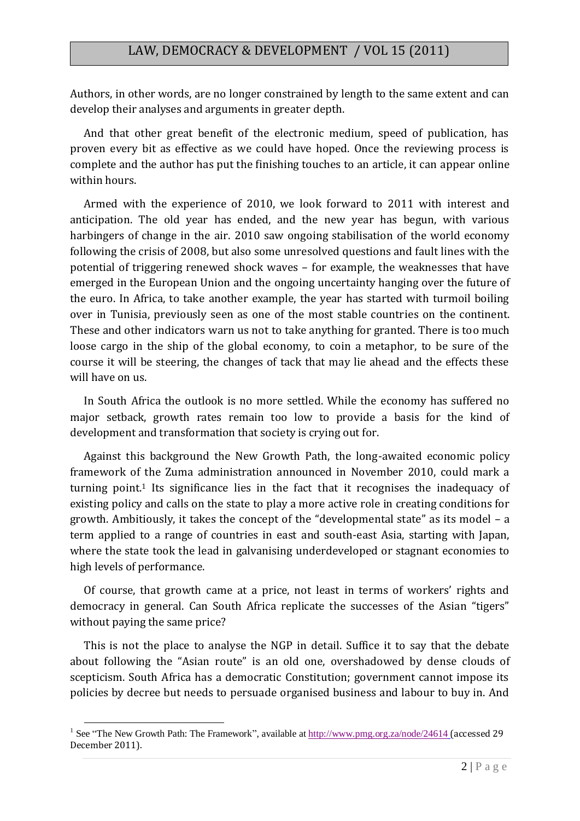Authors, in other words, are no longer constrained by length to the same extent and can develop their analyses and arguments in greater depth.

And that other great benefit of the electronic medium, speed of publication, has proven every bit as effective as we could have hoped. Once the reviewing process is complete and the author has put the finishing touches to an article, it can appear online within hours.

Armed with the experience of 2010, we look forward to 2011 with interest and anticipation. The old year has ended, and the new year has begun, with various harbingers of change in the air. 2010 saw ongoing stabilisation of the world economy following the crisis of 2008, but also some unresolved questions and fault lines with the potential of triggering renewed shock waves – for example, the weaknesses that have emerged in the European Union and the ongoing uncertainty hanging over the future of the euro. In Africa, to take another example, the year has started with turmoil boiling over in Tunisia, previously seen as one of the most stable countries on the continent. These and other indicators warn us not to take anything for granted. There is too much loose cargo in the ship of the global economy, to coin a metaphor, to be sure of the course it will be steering, the changes of tack that may lie ahead and the effects these will have on us.

In South Africa the outlook is no more settled. While the economy has suffered no major setback, growth rates remain too low to provide a basis for the kind of development and transformation that society is crying out for.

Against this background the New Growth Path, the long-awaited economic policy framework of the Zuma administration announced in November 2010, could mark a turning point.<sup>1</sup> Its significance lies in the fact that it recognises the inadequacy of existing policy and calls on the state to play a more active role in creating conditions for growth. Ambitiously, it takes the concept of the "developmental state" as its model – a term applied to a range of countries in east and south-east Asia, starting with Japan, where the state took the lead in galvanising underdeveloped or stagnant economies to high levels of performance.

Of course, that growth came at a price, not least in terms of workers' rights and democracy in general. Can South Africa replicate the successes of the Asian "tigers" without paying the same price?

This is not the place to analyse the NGP in detail. Suffice it to say that the debate about following the "Asian route" is an old one, overshadowed by dense clouds of scepticism. South Africa has a democratic Constitution; government cannot impose its policies by decree but needs to persuade organised business and labour to buy in. And

<u>.</u>

<sup>&</sup>lt;sup>1</sup> See "The New Growth Path: The Framework", available a[t http://www.pmg.org.za/node/24614](http://www.pmg.org.za/node/24614) (accessed 29 December 2011).